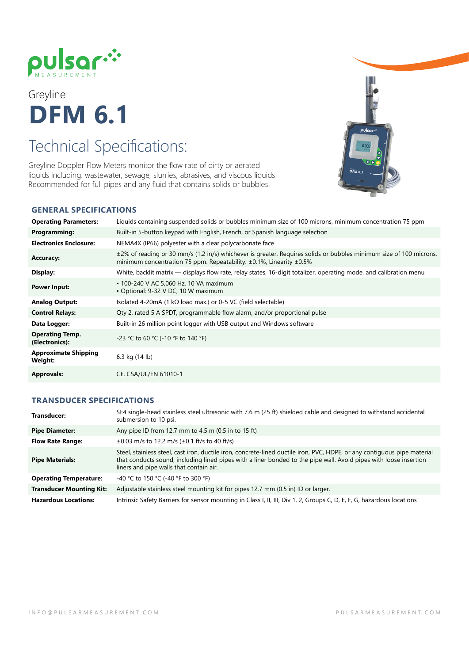

# Greyline **DFM 6.1**

## Technical Specifications:

Greyline Doppler Flow Meters monitor the flow rate of dirty or aerated liquids including: wastewater, sewage, slurries, abrasives, and viscous liquids. Recommended for full pipes and any fluid that contains solids or bubbles.



### **GENERAL SPECIFICATIONS**

| <b>Operating Parameters:</b>             | Liquids containing suspended solids or bubbles minimum size of 100 microns, minimum concentration 75 ppm                                                                                              |
|------------------------------------------|-------------------------------------------------------------------------------------------------------------------------------------------------------------------------------------------------------|
| Programming:                             | Built-in 5-button keypad with English, French, or Spanish language selection                                                                                                                          |
| <b>Electronics Enclosure:</b>            | NEMA4X (IP66) polyester with a clear polycarbonate face                                                                                                                                               |
| <b>Accuracy:</b>                         | ±2% of reading or 30 mm/s (1.2 in/s) whichever is greater. Requires solids or bubbles minimum size of 100 microns,<br>minimum concentration 75 ppm. Repeatability: $\pm 0.1$ %, Linearity $\pm 0.5$ % |
| Display:                                 | White, backlit matrix — displays flow rate, relay states, 16-digit totalizer, operating mode, and calibration menu                                                                                    |
| <b>Power Input:</b>                      | • 100-240 V AC 5,060 Hz, 10 VA maximum<br>• Optional: 9-32 V DC, 10 W maximum                                                                                                                         |
| <b>Analog Output:</b>                    | Isolated 4-20mA (1 kΩ load max.) or 0-5 VC (field selectable)                                                                                                                                         |
| <b>Control Relays:</b>                   | Qty 2, rated 5 A SPDT, programmable flow alarm, and/or proportional pulse                                                                                                                             |
| Data Logger:                             | Built-in 26 million point logger with USB output and Windows software                                                                                                                                 |
| <b>Operating Temp.</b><br>(Electronics): | -23 °C to 60 °C (-10 °F to 140 °F)                                                                                                                                                                    |
| <b>Approximate Shipping</b><br>Weight:   | 6.3 kg (14 lb)                                                                                                                                                                                        |
| <b>Approvals:</b>                        | CE. CSA/UL/EN 61010-1                                                                                                                                                                                 |

#### **TRANSDUCER SPECIFICATIONS**

| Transducer:                     | SE4 single-head stainless steel ultrasonic with 7.6 m (25 ft) shielded cable and designed to withstand accidental<br>submersion to 10 psi.                                                                                                                                               |
|---------------------------------|------------------------------------------------------------------------------------------------------------------------------------------------------------------------------------------------------------------------------------------------------------------------------------------|
| <b>Pipe Diameter:</b>           | Any pipe ID from 12.7 mm to 4.5 m (0.5 in to 15 ft)                                                                                                                                                                                                                                      |
| <b>Flow Rate Range:</b>         | $\pm 0.03$ m/s to 12.2 m/s ( $\pm 0.1$ ft/s to 40 ft/s)                                                                                                                                                                                                                                  |
| <b>Pipe Materials:</b>          | Steel, stainless steel, cast iron, ductile iron, concrete-lined ductile iron, PVC, HDPE, or any contiguous pipe material<br>that conducts sound, including lined pipes with a liner bonded to the pipe wall. Avoid pipes with loose insertion<br>liners and pipe walls that contain air. |
| <b>Operating Temperature:</b>   | -40 °C to 150 °C (-40 °F to 300 °F)                                                                                                                                                                                                                                                      |
| <b>Transducer Mounting Kit:</b> | Adjustable stainless steel mounting kit for pipes 12.7 mm (0.5 in) ID or larger.                                                                                                                                                                                                         |
| <b>Hazardous Locations:</b>     | Intrinsic Safety Barriers for sensor mounting in Class I, II, III, Div 1, 2, Groups C, D, E, F, G, hazardous locations                                                                                                                                                                   |